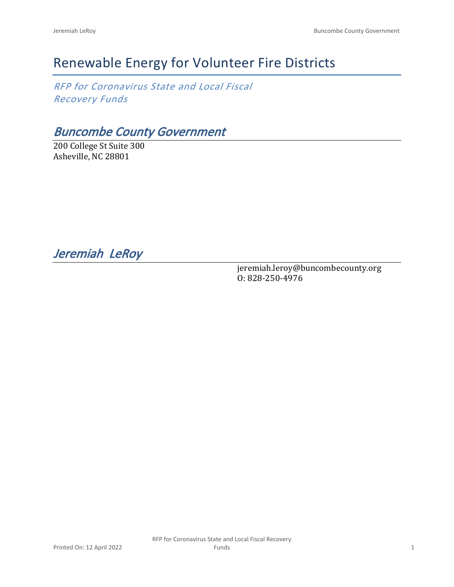# Renewable Energy for Volunteer Fire Districts

*RFP for Coronavirus State and Local Fiscal Recovery Funds*

*Buncombe County Government*

200 College St Suite 300 Asheville, NC 28801

*Jeremiah LeRoy* 

jeremiah.leroy@buncombecounty.org O: 828-250-4976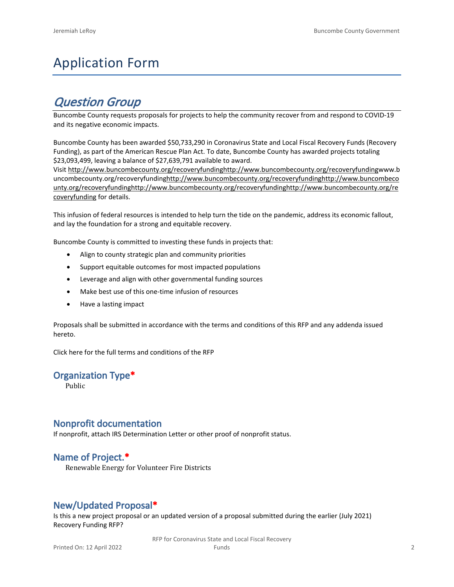# Application Form

# *Question Group*

Buncombe County requests proposals for projects to help the community recover from and respond to COVID-19 and its negative economic impacts.

Buncombe County has been awarded \$50,733,290 in Coronavirus State and Local Fiscal Recovery Funds (Recovery Funding), as part of the American Rescue Plan Act. To date, Buncombe County has awarded projects totaling \$23,093,499, leaving a balance of \$27,639,791 available to award.

Visit [http://www.buncombecounty.org/recoveryfundinghttp://www.buncombecounty.org/recoveryfundingwww.b](http://www.buncombecounty.org/recoveryfunding) [uncombecounty.org/recoveryfundinghttp://www.buncombecounty.org/recoveryfundinghttp://www.buncombeco](http://www.buncombecounty.org/recoveryfunding) [unty.org/recoveryfundinghttp://www.buncombecounty.org/recoveryfundinghttp://www.buncombecounty.org/re](http://www.buncombecounty.org/recoveryfunding) [coveryfunding](http://www.buncombecounty.org/recoveryfunding) for details.

This infusion of federal resources is intended to help turn the tide on the pandemic, address its economic fallout, and lay the foundation for a strong and equitable recovery.

Buncombe County is committed to investing these funds in projects that:

- Align to county strategic plan and community priorities
- Support equitable outcomes for most impacted populations
- Leverage and align with other governmental funding sources
- Make best use of this one-time infusion of resources
- Have a lasting impact

Proposals shall be submitted in accordance with the terms and conditions of this RFP and any addenda issued hereto.

Click [here](https://www.buncombecounty.org/common/purchasing/Buncombe%20Recovery%20Funding%20RFP%202022.pdf) for the full terms and conditions of the RFP

# **Organization Type\***

Public

# **Nonprofit documentation**

If nonprofit, attach IRS Determination Letter or other proof of nonprofit status.

# **Name of Project.\***

Renewable Energy for Volunteer Fire Districts

# **New/Updated Proposal\***

Is this a new project proposal or an updated version of a proposal submitted during the earlier (July 2021) Recovery Funding RFP?

> RFP for Coronavirus State and Local Fiscal Recovery Funds 2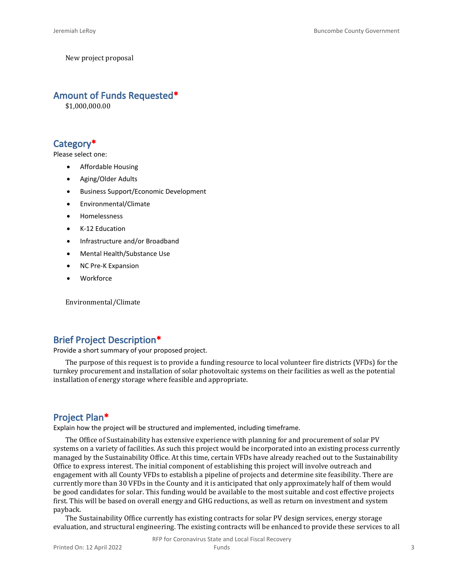New project proposal

#### **Amount of Funds Requested\***

\$1,000,000.00

# **Category\***

Please select one:

- Affordable Housing
- Aging/Older Adults
- Business Support/Economic Development
- Environmental/Climate
- Homelessness
- K-12 Education
- Infrastructure and/or Broadband
- Mental Health/Substance Use
- NC Pre-K Expansion
- **Workforce**

Environmental/Climate

#### **Brief Project Description\***

Provide a short summary of your proposed project.

The purpose of this request is to provide a funding resource to local volunteer fire districts (VFDs) for the turnkey procurement and installation of solar photovoltaic systems on their facilities as well as the potential installation of energy storage where feasible and appropriate.

# **Project Plan\***

Explain how the project will be structured and implemented, including timeframe.

The Office of Sustainability has extensive experience with planning for and procurement of solar PV systems on a variety of facilities. As such this project would be incorporated into an existing process currently managed by the Sustainability Office. At this time, certain VFDs have already reached out to the Sustainability Office to express interest. The initial component of establishing this project will involve outreach and engagement with all County VFDs to establish a pipeline of projects and determine site feasibility. There are currently more than 30 VFDs in the County and it is anticipated that only approximately half of them would be good candidates for solar. This funding would be available to the most suitable and cost effective projects first. This will be based on overall energy and GHG reductions, as well as return on investment and system payback.

The Sustainability Office currently has existing contracts for solar PV design services, energy storage evaluation, and structural engineering. The existing contracts will be enhanced to provide these services to all

RFP for Coronavirus State and Local Fiscal Recovery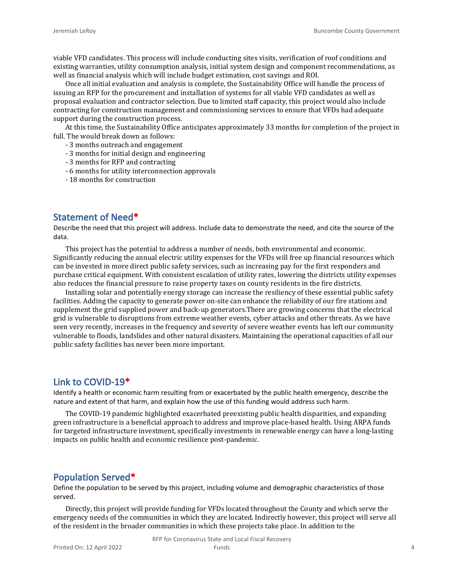viable VFD candidates. This process will include conducting sites visits, verification of roof conditions and existing warranties, utility consumption analysis, initial system design and component recommendations, as well as financial analysis which will include budget estimation, cost savings and ROI.

Once all initial evaluation and analysis is complete, the Sustainability Office will handle the process of issuing an RFP for the procurement and installation of systems for all viable VFD candidates as well as proposal evaluation and contractor selection. Due to limited staff capacity, this project would also include contracting for construction management and commissioning services to ensure that VFDs had adequate support during the construction process.

At this time, the Sustainability Office anticipates approximately 33 months for completion of the project in full. The would break down as follows:

- 3 months outreach and engagement
- 3 months for initial design and engineering
- 3 months for RFP and contracting
- 6 months for utility interconnection approvals
- 18 months for construction

# **Statement of Need\***

Describe the need that this project will address. Include data to demonstrate the need, and cite the source of the data.

This project has the potential to address a number of needs, both environmental and economic. Significantly reducing the annual electric utility expenses for the VFDs will free up financial resources which can be invested in more direct public safety services, such as increasing pay for the first responders and purchase critical equipment. With consistent escalation of utility rates, lowering the districts utility expenses also reduces the financial pressure to raise property taxes on county residents in the fire districts.

Installing solar and potentially energy storage can increase the resiliency of these essential public safety facilities. Adding the capacity to generate power on-site can enhance the reliability of our fire stations and supplement the grid supplied power and back-up generators.There are growing concerns that the electrical grid is vulnerable to disruptions from extreme weather events, cyber attacks and other threats. As we have seen very recently, increases in the frequency and severity of severe weather events has left our community vulnerable to floods, landslides and other natural disasters. Maintaining the operational capacities of all our public safety facilities has never been more important.

# **Link to COVID-19\***

Identify a health or economic harm resulting from or exacerbated by the public health emergency, describe the nature and extent of that harm, and explain how the use of this funding would address such harm.

The COVID-19 pandemic highlighted exacerbated preexisting public health disparities, and expanding green infrastructure is a beneficial approach to address and improve place-based health. Using ARPA funds for targeted infrastructure investment, specifically investments in renewable energy can have a long-lasting impacts on public health and economic resilience post-pandemic.

#### **Population Served\***

Define the population to be served by this project, including volume and demographic characteristics of those served.

Directly, this project will provide funding for VFDs located throughout the County and which serve the emergency needs of the communities in which they are located. Indirectly however, this project will serve all of the resident in the broader communities in which these projects take place. In addition to the

RFP for Coronavirus State and Local Fiscal Recovery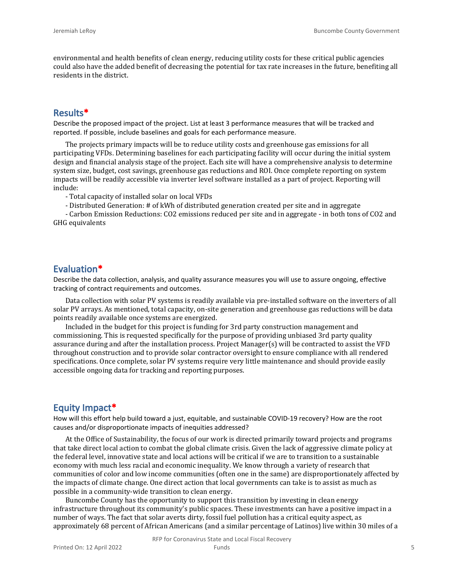environmental and health benefits of clean energy, reducing utility costs for these critical public agencies could also have the added benefit of decreasing the potential for tax rate increases in the future, benefiting all residents in the district.

#### **Results\***

Describe the proposed impact of the project. List at least 3 performance measures that will be tracked and reported. If possible, include baselines and goals for each performance measure.

The projects primary impacts will be to reduce utility costs and greenhouse gas emissions for all participating VFDs. Determining baselines for each participating facility will occur during the initial system design and financial analysis stage of the project. Each site will have a comprehensive analysis to determine system size, budget, cost savings, greenhouse gas reductions and ROI. Once complete reporting on system impacts will be readily accessible via inverter level software installed as a part of project. Reporting will include:

- Total capacity of installed solar on local VFDs

- Distributed Generation: # of kWh of distributed generation created per site and in aggregate

- Carbon Emission Reductions: CO2 emissions reduced per site and in aggregate - in both tons of CO2 and GHG equivalents

#### **Evaluation\***

Describe the data collection, analysis, and quality assurance measures you will use to assure ongoing, effective tracking of contract requirements and outcomes.

Data collection with solar PV systems is readily available via pre-installed software on the inverters of all solar PV arrays. As mentioned, total capacity, on-site generation and greenhouse gas reductions will be data points readily available once systems are energized.

Included in the budget for this project is funding for 3rd party construction management and commissioning. This is requested specifically for the purpose of providing unbiased 3rd party quality assurance during and after the installation process. Project Manager(s) will be contracted to assist the VFD throughout construction and to provide solar contractor oversight to ensure compliance with all rendered specifications. Once complete, solar PV systems require very little maintenance and should provide easily accessible ongoing data for tracking and reporting purposes.

#### **Equity Impact\***

How will this effort help build toward a just, equitable, and sustainable COVID-19 recovery? How are the root causes and/or disproportionate impacts of inequities addressed?

At the Office of Sustainability, the focus of our work is directed primarily toward projects and programs that take direct local action to combat the global climate crisis. Given the lack of aggressive climate policy at the federal level, innovative state and local actions will be critical if we are to transition to a sustainable economy with much less racial and economic inequality. We know through a variety of research that communities of color and low income communities (often one in the same) are disproportionately affected by the impacts of climate change. One direct action that local governments can take is to assist as much as possible in a community-wide transition to clean energy.

Buncombe County has the opportunity to support this transition by investing in clean energy infrastructure throughout its community's public spaces. These investments can have a positive impact in a number of ways. The fact that solar averts dirty, fossil fuel pollution has a critical equity aspect, as approximately 68 percent of African Americans (and a similar percentage of Latinos) live within 30 miles of a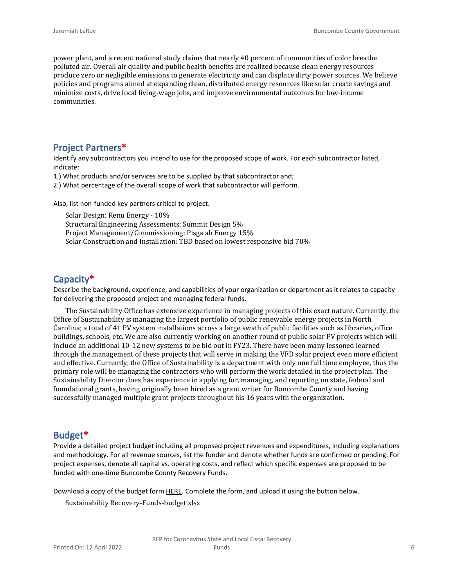power plant, and a recent national study claims that nearly 40 percent of communities of color breathe polluted air. Overall air quality and public health benefits are realized because clean energy resources produce zero or negligible emissions to generate electricity and can displace dirty power sources. We believe policies and programs aimed at expanding clean, distributed energy resources like solar create savings and minimize costs, drive local living-wage jobs, and improve environmental outcomes for low-income communities.

# **Project Partners\***

Identify any subcontractors you intend to use for the proposed scope of work. For each subcontractor listed, indicate:

- 1.) What products and/or services are to be supplied by that subcontractor and;
- 2.) What percentage of the overall scope of work that subcontractor will perform.

Also, list non-funded key partners critical to project.

Solar Design: Renu Energy - 10% Structural Engineering Assessments: Summit Design 5% Project Management/Commissioning: Pisga ah Energy 15% Solar Construction and Installation: TBD based on lowest responsive bid 70%

# **Capacity\***

Describe the background, experience, and capabilities of your organization or department as it relates to capacity for delivering the proposed project and managing federal funds.

The Sustainability Office has extensive experience in managing projects of this exact nature. Currently, the Office of Sustainability is managing the largest portfolio of public renewable energy projects in North Carolina; a total of 41 PV system installations across a large swath of public facilities such as libraries, office buildings, schools, etc. We are also currently working on another round of public solar PV projects which will include an additional 10-12 new systems to be bid out in FY23. There have been many lessoned learned through the management of these projects that will serve in making the VFD solar project even more efficient and effective. Currently, the Office of Sustainability is a department with only one full time employee, thus the primary role will be managing the contractors who will perform the work detailed in the project plan. The Sustainability Director does has experience in applying for, managing, and reporting on state, federal and foundational grants, having originally been hired as a grant writer for Buncombe County and having successfully managed multiple grant projects throughout his 16 years with the organization.

# **Budget\***

Provide a detailed project budget including all proposed project revenues and expenditures, including explanations and methodology. For all revenue sources, list the funder and denote whether funds are confirmed or pending. For project expenses, denote all capital vs. operating costs, and reflect which specific expenses are proposed to be funded with one-time Buncombe County Recovery Funds.

Download a copy of the budget form [HERE](https://buncombecounty.org/common/community-investment/grants/early-childhood-education/Recovery-Funds-budget-template.xlsx). Complete the form, and upload it using the button below.

Sustainability Recovery-Funds-budget.xlsx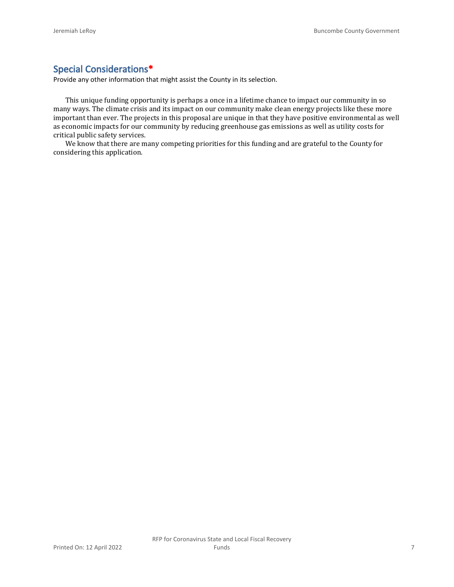# **Special Considerations\***

Provide any other information that might assist the County in its selection.

This unique funding opportunity is perhaps a once in a lifetime chance to impact our community in so many ways. The climate crisis and its impact on our community make clean energy projects like these more important than ever. The projects in this proposal are unique in that they have positive environmental as well as economic impacts for our community by reducing greenhouse gas emissions as well as utility costs for critical public safety services.

We know that there are many competing priorities for this funding and are grateful to the County for considering this application.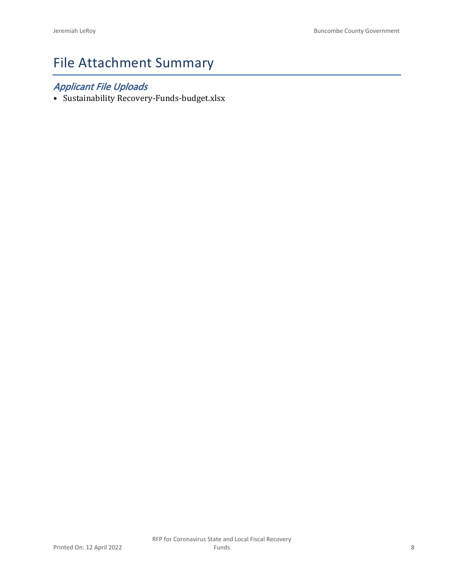# File Attachment Summary

# *Applicant File Uploads*

• Sustainability Recovery-Funds-budget.xlsx